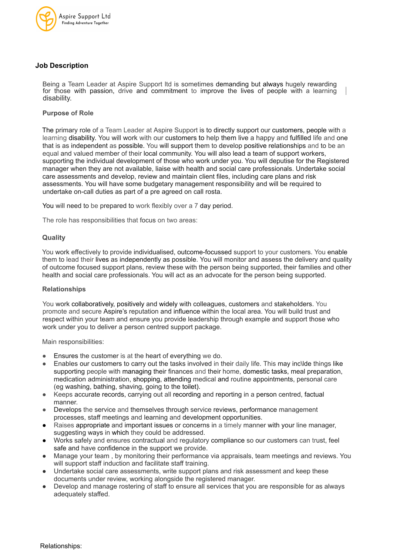

## **Job Description**

Being a Team Leader at Aspire Support ltd is sometimes demanding but always hugely rewarding for those with passion, drive and commitment to improve the lives of people with a learning disability.

## **Purpose of Role**

The primary role of a Team Leader at Aspire Support is to directly support our customers, people with a learning disability. You will work with our customers to help them live a happy and fulfilled life and one that is as independent as possible. You will support them to develop positive relationships and to be an equal and valued member of their local community. You will also lead a team of support workers, supporting the individual development of those who work under you. You will deputise for the Registered manager when they are not available, liaise with health and social care professionals. Undertake social care assessments and develop, review and maintain client files, including care plans and risk assessments. You will have some budgetary management responsibility and will be required to undertake on-call duties as part of a pre agreed on call rosta.

You will need to be prepared to work flexibly over a 7 day period.

The role has responsibilities that focus on two areas:

## **Quality**

You work effectively to provide individualised, outcome-focussed support to your customers. You enable them to lead their lives as independently as possible. You will monitor and assess the delivery and quality of outcome focused support plans, review these with the person being supported, their families and other health and social care professionals. You will act as an advocate for the person being supported.

## **Relationships**

- Ensures the customer is at the heart of everything we do.
- Enables our customers to carry out the tasks involved in their daily life. This may inc\lde things like supporting people with managing their finances and their home, domestic tasks, meal preparation, medication administration, shopping, attending medical and routine appointments, personal care (eg washing, bathing, shaving, going to the toilet).
- Keeps accurate records, carrying out all recording and reporting in a person centred, factual manner.
- Develops the service and themselves through service reviews, performance management processes, staff meetings and learning and development opportunities.
- Raises appropriate and important issues or concerns in a timely manner with your line manager, suggesting ways in which they could be addressed.
- Works safely and ensures contractual and regulatory compliance so our customers can trust, feel safe and have confidence in the support we provide.
- Manage your team, by monitoring their performance via appraisals, team meetings and reviews. You will support staff induction and facilitate staff training.
- Undertake social care assessments, write support plans and risk assessment and keep these documents under review, working alongside the registered manager.
- Develop and manage rostering of staff to ensure all services that you are responsible for as always adequately staffed.

You work collaboratively, positively and widely with colleagues, customers and stakeholders. You promote and secure Aspire's reputation and influence within the local area. You will build trust and respect within your team and ensure you provide leadership through example and support those who work under you to deliver a person centred support package.

Main responsibilities: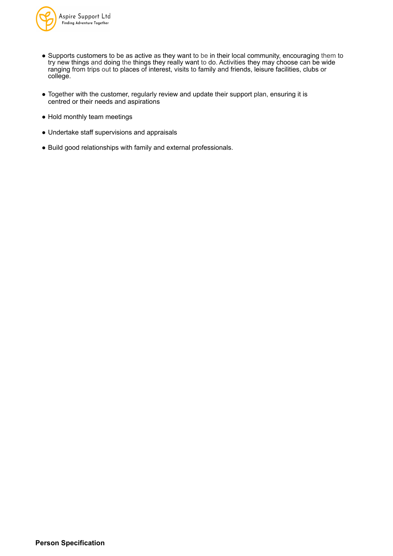

- Supports customers to be as active as they want to be in their local community, encouraging them to try new things and doing the things they really want to do. Activities they may choose can be wide ranging from trips out to places of interest, visits to family and friends, leisure facilities, clubs or college.
- Together with the customer, regularly review and update their support plan, ensuring it is centred or their needs and aspirations
- Hold monthly team meetings
- Undertake staff supervisions and appraisals
- Build good relationships with family and external professionals.

**Person Specification**